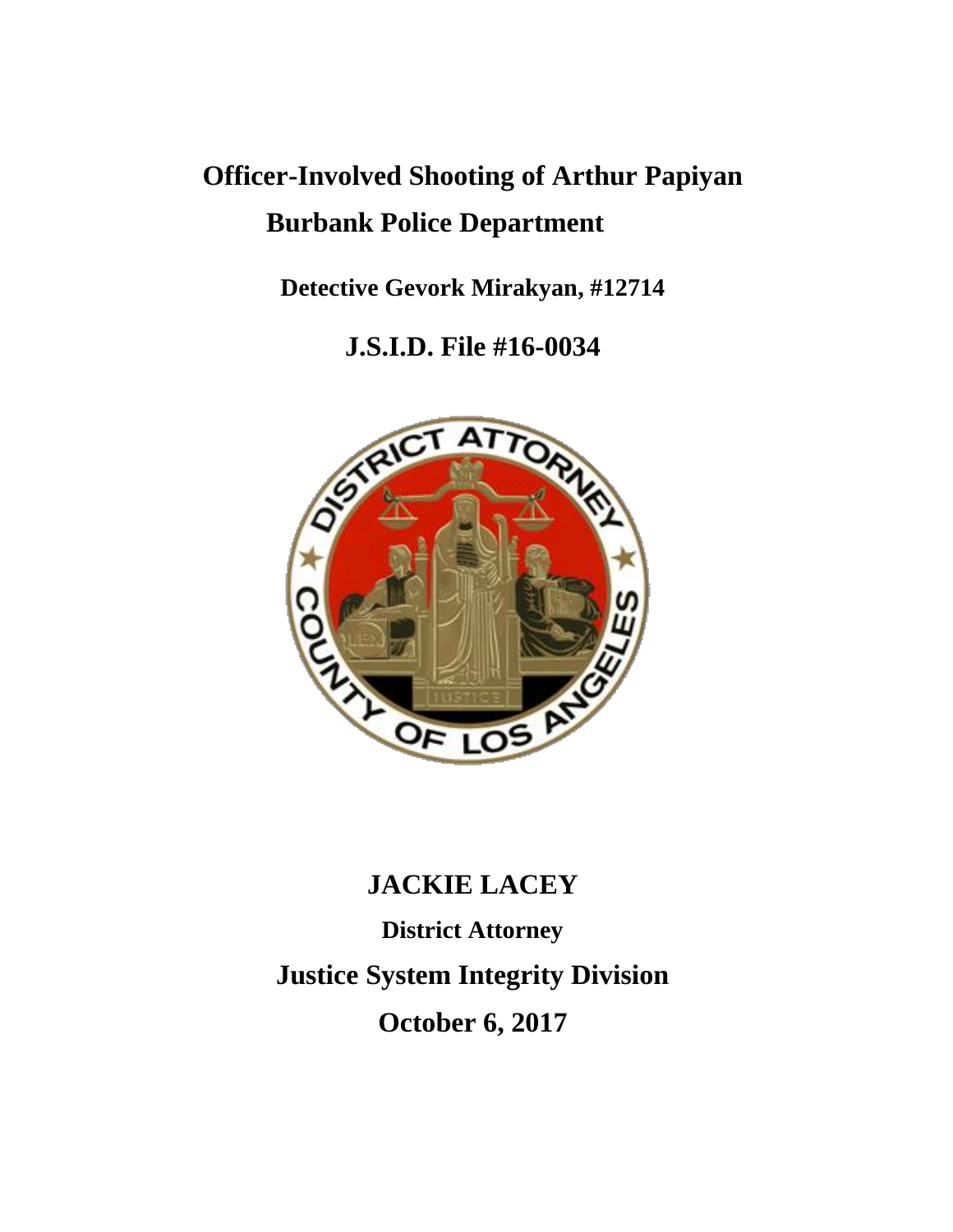# **Officer-Involved Shooting of Arthur Papiyan Burbank Police Department**

**Detective Gevork Mirakyan, #12714**

**J.S.I.D. File #16-0034**



## **JACKIE LACEY**

**District Attorney Justice System Integrity Division October 6, 2017**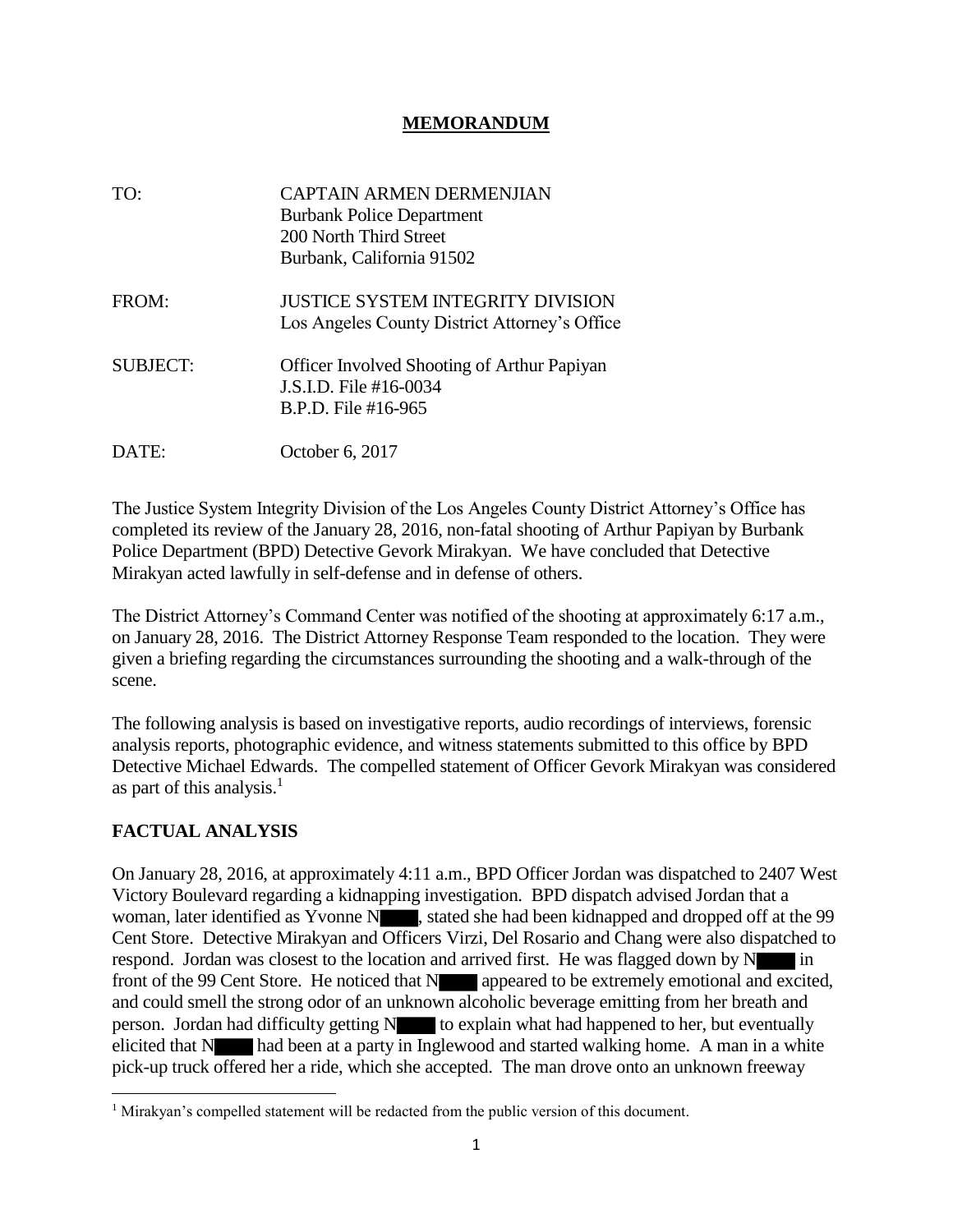#### **MEMORANDUM**

| TO:             | CAPTAIN ARMEN DERMENJIAN<br><b>Burbank Police Department</b><br>200 North Third Street<br>Burbank, California 91502 |
|-----------------|---------------------------------------------------------------------------------------------------------------------|
| FROM:           | JUSTICE SYSTEM INTEGRITY DIVISION<br>Los Angeles County District Attorney's Office                                  |
| <b>SUBJECT:</b> | <b>Officer Involved Shooting of Arthur Papiyan</b><br>J.S.I.D. File $#16-0034$<br>B.P.D. File #16-965               |
| DATE:           | October 6, 2017                                                                                                     |

The Justice System Integrity Division of the Los Angeles County District Attorney's Office has completed its review of the January 28, 2016, non-fatal shooting of Arthur Papiyan by Burbank Police Department (BPD) Detective Gevork Mirakyan. We have concluded that Detective Mirakyan acted lawfully in self-defense and in defense of others.

The District Attorney's Command Center was notified of the shooting at approximately 6:17 a.m., on January 28, 2016. The District Attorney Response Team responded to the location. They were given a briefing regarding the circumstances surrounding the shooting and a walk-through of the scene.

The following analysis is based on investigative reports, audio recordings of interviews, forensic analysis reports, photographic evidence, and witness statements submitted to this office by BPD Detective Michael Edwards. The compelled statement of Officer Gevork Mirakyan was considered as part of this analysis. $<sup>1</sup>$ </sup>

### **FACTUAL ANALYSIS**

 $\overline{\phantom{a}}$ 

On January 28, 2016, at approximately 4:11 a.m., BPD Officer Jordan was dispatched to 2407 West Victory Boulevard regarding a kidnapping investigation. BPD dispatch advised Jordan that a woman, later identified as Yvonne N , stated she had been kidnapped and dropped off at the 99 Cent Store. Detective Mirakyan and Officers Virzi, Del Rosario and Chang were also dispatched to respond. Jordan was closest to the location and arrived first. He was flagged down by  $N \cdot \cdot \cdot$  in front of the 99 Cent Store. He noticed that N appeared to be extremely emotional and excited, and could smell the strong odor of an unknown alcoholic beverage emitting from her breath and person. Jordan had difficulty getting  $N$  to explain what had happened to her, but eventually elicited that N had been at a party in Inglewood and started walking home. A man in a white pick-up truck offered her a ride, which she accepted. The man drove onto an unknown freeway

<sup>&</sup>lt;sup>1</sup> Mirakyan's compelled statement will be redacted from the public version of this document.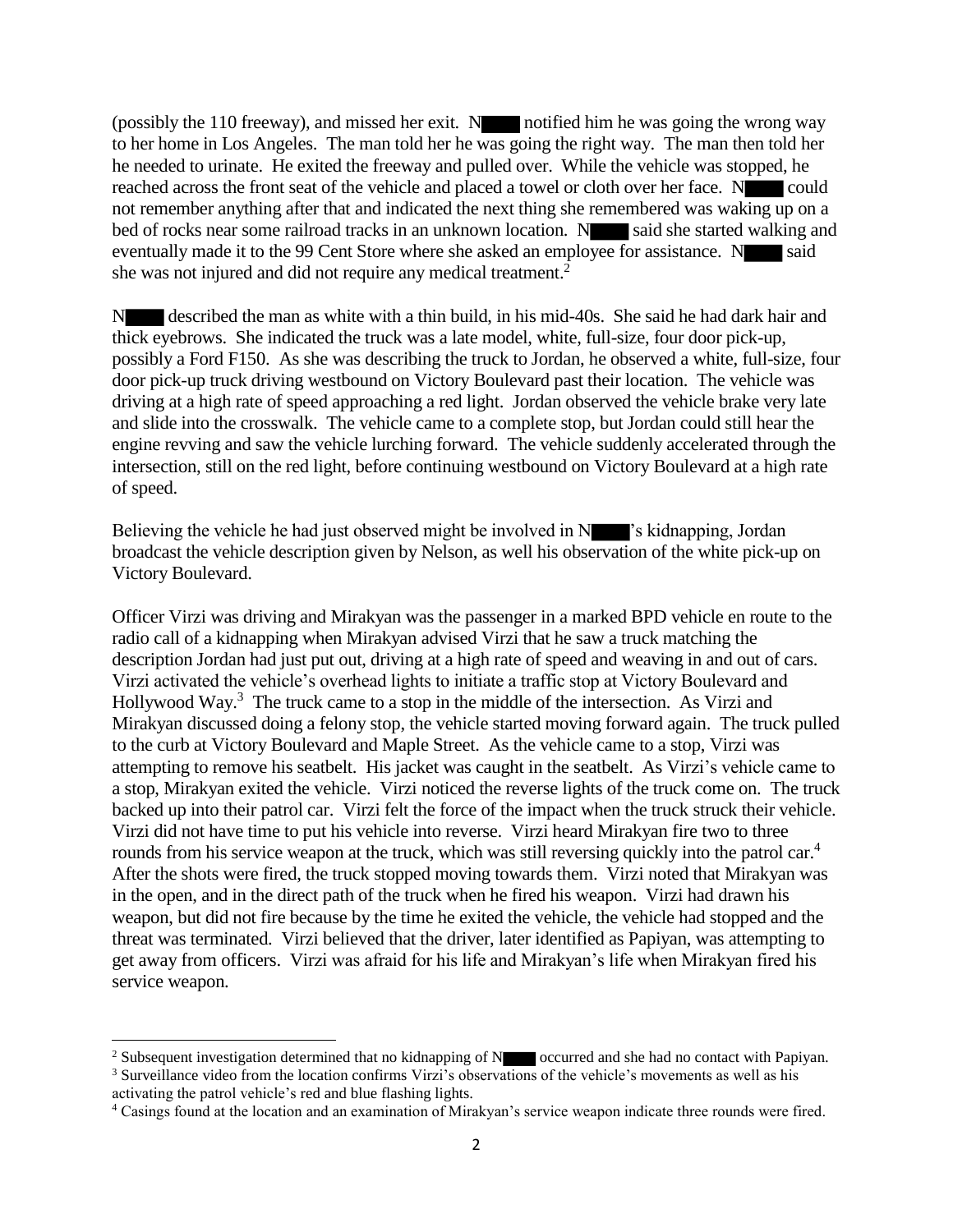(possibly the 110 freeway), and missed her exit.  $N$  notified him he was going the wrong way to her home in Los Angeles. The man told her he was going the right way. The man then told her he needed to urinate. He exited the freeway and pulled over. While the vehicle was stopped, he reached across the front seat of the vehicle and placed a towel or cloth over her face. N could not remember anything after that and indicated the next thing she remembered was waking up on a bed of rocks near some railroad tracks in an unknown location. N said she started walking and eventually made it to the 99 Cent Store where she asked an employee for assistance. N said she was not injured and did not require any medical treatment.<sup>2</sup>

N described the man as white with a thin build, in his mid-40s. She said he had dark hair and thick eyebrows. She indicated the truck was a late model, white, full-size, four door pick-up, possibly a Ford F150. As she was describing the truck to Jordan, he observed a white, full-size, four door pick-up truck driving westbound on Victory Boulevard past their location. The vehicle was driving at a high rate of speed approaching a red light. Jordan observed the vehicle brake very late and slide into the crosswalk. The vehicle came to a complete stop, but Jordan could still hear the engine revving and saw the vehicle lurching forward. The vehicle suddenly accelerated through the intersection, still on the red light, before continuing westbound on Victory Boulevard at a high rate of speed.

Believing the vehicle he had just observed might be involved in N  $\blacksquare$ 's kidnapping, Jordan broadcast the vehicle description given by Nelson, as well his observation of the white pick-up on Victory Boulevard.

Officer Virzi was driving and Mirakyan was the passenger in a marked BPD vehicle en route to the radio call of a kidnapping when Mirakyan advised Virzi that he saw a truck matching the description Jordan had just put out, driving at a high rate of speed and weaving in and out of cars. Virzi activated the vehicle's overhead lights to initiate a traffic stop at Victory Boulevard and Hollywood Way.<sup>3</sup> The truck came to a stop in the middle of the intersection. As Virzi and Mirakyan discussed doing a felony stop, the vehicle started moving forward again. The truck pulled to the curb at Victory Boulevard and Maple Street. As the vehicle came to a stop, Virzi was attempting to remove his seatbelt. His jacket was caught in the seatbelt. As Virzi's vehicle came to a stop, Mirakyan exited the vehicle. Virzi noticed the reverse lights of the truck come on. The truck backed up into their patrol car. Virzi felt the force of the impact when the truck struck their vehicle. Virzi did not have time to put his vehicle into reverse. Virzi heard Mirakyan fire two to three rounds from his service weapon at the truck, which was still reversing quickly into the patrol car.<sup>4</sup> After the shots were fired, the truck stopped moving towards them. Virzi noted that Mirakyan was in the open, and in the direct path of the truck when he fired his weapon. Virzi had drawn his weapon, but did not fire because by the time he exited the vehicle, the vehicle had stopped and the threat was terminated. Virzi believed that the driver, later identified as Papiyan, was attempting to get away from officers. Virzi was afraid for his life and Mirakyan's life when Mirakyan fired his service weapon.

 $\overline{\phantom{a}}$ 

<sup>&</sup>lt;sup>2</sup> Subsequent investigation determined that no kidnapping of N occurred and she had no contact with Papiyan.

<sup>&</sup>lt;sup>3</sup> Surveillance video from the location confirms Virzi<sup>3</sup>s observations of the vehicle's movements as well as his activating the patrol vehicle's red and blue flashing lights.

<sup>4</sup> Casings found at the location and an examination of Mirakyan's service weapon indicate three rounds were fired.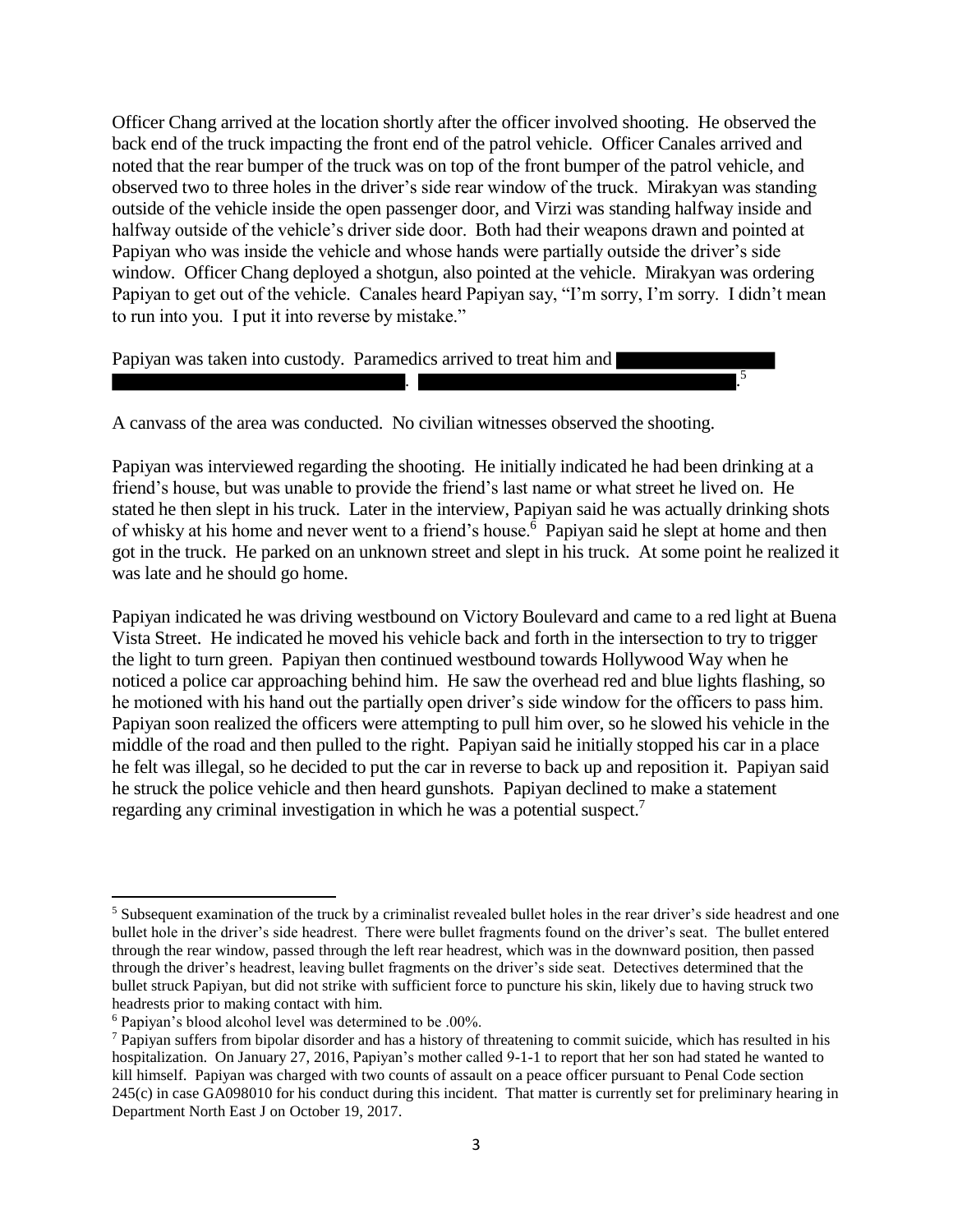Officer Chang arrived at the location shortly after the officer involved shooting. He observed the back end of the truck impacting the front end of the patrol vehicle. Officer Canales arrived and noted that the rear bumper of the truck was on top of the front bumper of the patrol vehicle, and observed two to three holes in the driver's side rear window of the truck. Mirakyan was standing outside of the vehicle inside the open passenger door, and Virzi was standing halfway inside and halfway outside of the vehicle's driver side door. Both had their weapons drawn and pointed at Papiyan who was inside the vehicle and whose hands were partially outside the driver's side window. Officer Chang deployed a shotgun, also pointed at the vehicle. Mirakyan was ordering Papiyan to get out of the vehicle. Canales heard Papiyan say, "I'm sorry, I'm sorry. I didn't mean to run into you. I put it into reverse by mistake."

Papiyan was taken into custody. Paramedics arrived to treat him and

A canvass of the area was conducted. No civilian witnesses observed the shooting.

Papiyan was interviewed regarding the shooting. He initially indicated he had been drinking at a friend's house, but was unable to provide the friend's last name or what street he lived on. He stated he then slept in his truck. Later in the interview, Papiyan said he was actually drinking shots of whisky at his home and never went to a friend's house.<sup>6</sup> Papiyan said he slept at home and then got in the truck. He parked on an unknown street and slept in his truck. At some point he realized it was late and he should go home.

. .

5

Papiyan indicated he was driving westbound on Victory Boulevard and came to a red light at Buena Vista Street. He indicated he moved his vehicle back and forth in the intersection to try to trigger the light to turn green. Papiyan then continued westbound towards Hollywood Way when he noticed a police car approaching behind him. He saw the overhead red and blue lights flashing, so he motioned with his hand out the partially open driver's side window for the officers to pass him. Papiyan soon realized the officers were attempting to pull him over, so he slowed his vehicle in the middle of the road and then pulled to the right. Papiyan said he initially stopped his car in a place he felt was illegal, so he decided to put the car in reverse to back up and reposition it. Papiyan said he struck the police vehicle and then heard gunshots. Papiyan declined to make a statement regarding any criminal investigation in which he was a potential suspect.<sup>7</sup>

 $\overline{a}$ 

<sup>&</sup>lt;sup>5</sup> Subsequent examination of the truck by a criminalist revealed bullet holes in the rear driver's side headrest and one bullet hole in the driver's side headrest. There were bullet fragments found on the driver's seat. The bullet entered through the rear window, passed through the left rear headrest, which was in the downward position, then passed through the driver's headrest, leaving bullet fragments on the driver's side seat. Detectives determined that the bullet struck Papiyan, but did not strike with sufficient force to puncture his skin, likely due to having struck two headrests prior to making contact with him.

<sup>6</sup> Papiyan's blood alcohol level was determined to be .00%.

 $<sup>7</sup>$  Papiyan suffers from bipolar disorder and has a history of threatening to commit suicide, which has resulted in his</sup> hospitalization. On January 27, 2016, Papiyan's mother called 9-1-1 to report that her son had stated he wanted to kill himself. Papiyan was charged with two counts of assault on a peace officer pursuant to Penal Code section 245(c) in case GA098010 for his conduct during this incident. That matter is currently set for preliminary hearing in Department North East J on October 19, 2017.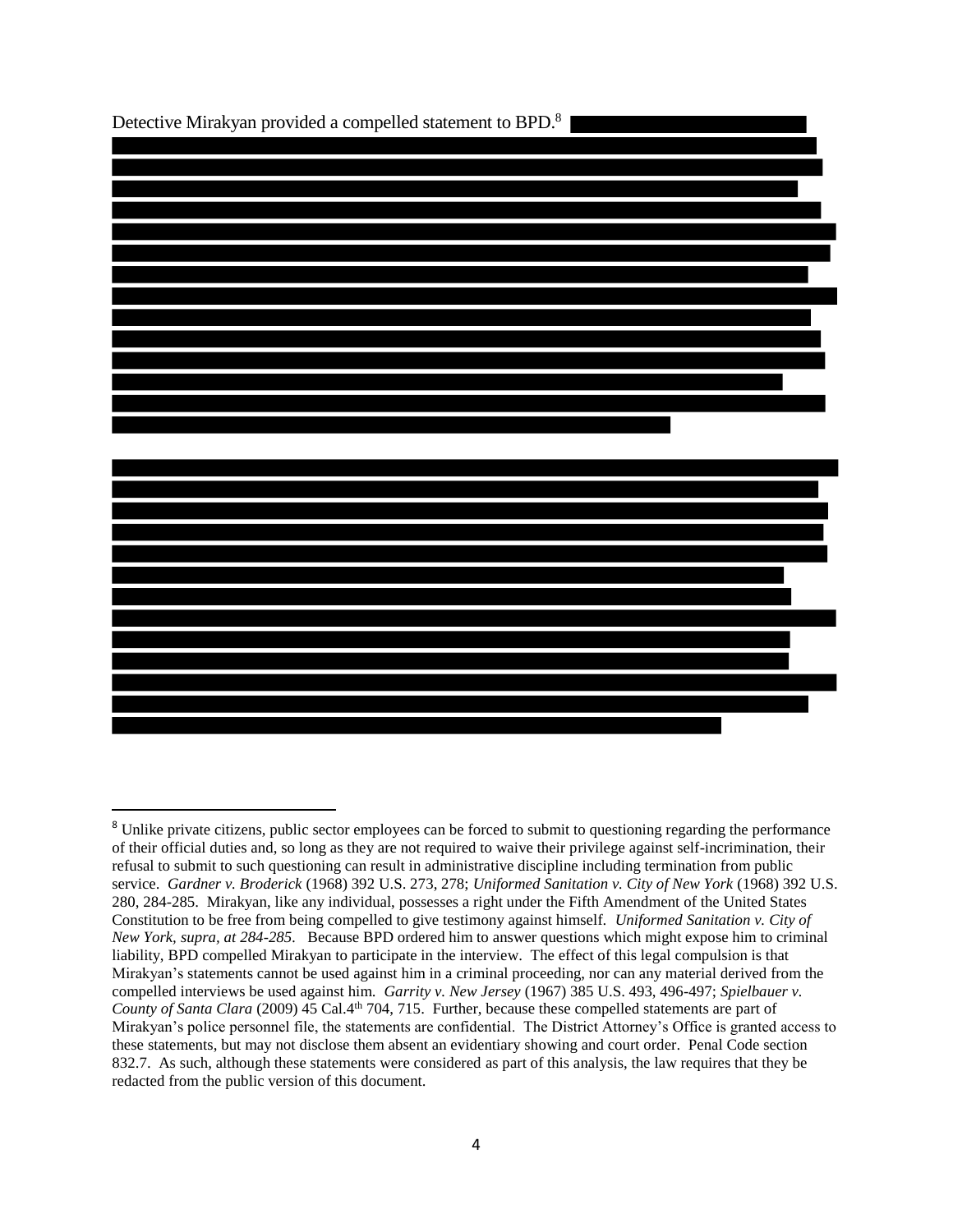

 $\overline{a}$ 

<sup>&</sup>lt;sup>8</sup> Unlike private citizens, public sector employees can be forced to submit to questioning regarding the performance of their official duties and, so long as they are not required to waive their privilege against self-incrimination, their refusal to submit to such questioning can result in administrative discipline including termination from public service. *Gardner v. Broderick* (1968) 392 U.S. 273, 278; *Uniformed Sanitation v. City of New York* (1968) 392 U.S. 280, 284-285. Mirakyan, like any individual, possesses a right under the Fifth Amendment of the United States Constitution to be free from being compelled to give testimony against himself. *Uniformed Sanitation v. City of New York, supra, at 284-285.* Because BPD ordered him to answer questions which might expose him to criminal liability, BPD compelled Mirakyan to participate in the interview. The effect of this legal compulsion is that Mirakyan's statements cannot be used against him in a criminal proceeding, nor can any material derived from the compelled interviews be used against him. *Garrity v. New Jersey* (1967) 385 U.S. 493, 496-497; *Spielbauer v. County of Santa Clara* (2009) 45 Cal.4<sup>th</sup> 704, 715. Further, because these compelled statements are part of Mirakyan's police personnel file, the statements are confidential. The District Attorney's Office is granted access to these statements, but may not disclose them absent an evidentiary showing and court order. Penal Code section 832.7. As such, although these statements were considered as part of this analysis, the law requires that they be redacted from the public version of this document.